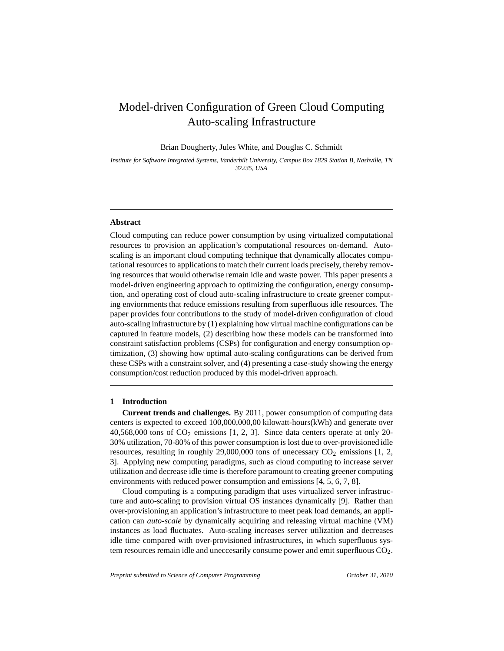# Model-driven Configuration of Green Cloud Computing Auto-scaling Infrastructure

Brian Dougherty, Jules White, and Douglas C. Schmidt

*Institute for Software Integrated Systems, Vanderbilt University, Campus Box 1829 Station B, Nashville, TN 37235, USA*

#### **Abstract**

Cloud computing can reduce power consumption by using virtualized computational resources to provision an application's computational resources on-demand. Autoscaling is an important cloud computing technique that dynamically allocates computational resources to applications to match their current loads precisely, thereby removing resources that would otherwise remain idle and waste power. This paper presents a model-driven engineering approach to optimizing the configuration, energy consumption, and operating cost of cloud auto-scaling infrastructure to create greener computing enviornments that reduce emissions resulting from superfluous idle resources. The paper provides four contributions to the study of model-driven configuration of cloud auto-scaling infrastructure by (1) explaining how virtual machine configurations can be captured in feature models, (2) describing how these models can be transformed into constraint satisfaction problems (CSPs) for configuration and energy consumption optimization, (3) showing how optimal auto-scaling configurations can be derived from these CSPs with a constraint solver, and (4) presenting a case-study showing the energy consumption/cost reduction produced by this model-driven approach.

### **1 Introduction**

**Current trends and challenges.** By 2011, power consumption of computing data centers is expected to exceed 100,000,000,00 kilowatt-hours(kWh) and generate over  $40,568,000$  tons of  $CO<sub>2</sub>$  emissions [1, 2, 3]. Since data centers operate at only 20-30% utilization, 70-80% of this power consumption is lost due to over-provisioned idle resources, resulting in roughly  $29,000,000$  tons of unecessary  $CO<sub>2</sub>$  emissions [1, 2, 3]. Applying new computing paradigms, such as cloud computing to increase server utilization and decrease idle time is therefore paramount to creating greener computing environments with reduced power consumption and emissions [4, 5, 6, 7, 8].

Cloud computing is a computing paradigm that uses virtualized server infrastructure and auto-scaling to provision virtual OS instances dynamically [9]. Rather than over-provisioning an application's infrastructure to meet peak load demands, an application can *auto-scale* by dynamically acquiring and releasing virtual machine (VM) instances as load fluctuates. Auto-scaling increases server utilization and decreases idle time compared with over-provisioned infrastructures, in which superfluous system resources remain idle and uneccesarily consume power and emit superfluous CO<sub>2</sub>.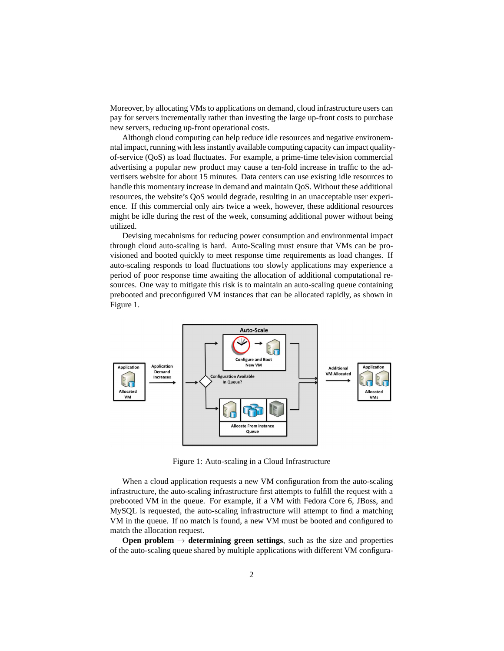Moreover, by allocating VMs to applications on demand, cloud infrastructure users can pay for servers incrementally rather than investing the large up-front costs to purchase new servers, reducing up-front operational costs.

Although cloud computing can help reduce idle resources and negative environemntal impact, running with less instantly available computing capacity can impact qualityof-service (QoS) as load fluctuates. For example, a prime-time television commercial advertising a popular new product may cause a ten-fold increase in traffic to the advertisers website for about 15 minutes. Data centers can use existing idle resources to handle this momentary increase in demand and maintain QoS. Without these additional resources, the website's QoS would degrade, resulting in an unacceptable user experience. If this commercial only airs twice a week, however, these additional resources might be idle during the rest of the week, consuming additional power without being utilized.

Devising mecahnisms for reducing power consumption and environmental impact through cloud auto-scaling is hard. Auto-Scaling must ensure that VMs can be provisioned and booted quickly to meet response time requirements as load changes. If auto-scaling responds to load fluctuations too slowly applications may experience a period of poor response time awaiting the allocation of additional computational resources. One way to mitigate this risk is to maintain an auto-scaling queue containing prebooted and preconfigured VM instances that can be allocated rapidly, as shown in Figure 1.



Figure 1: Auto-scaling in a Cloud Infrastructure

When a cloud application requests a new VM configuration from the auto-scaling infrastructure, the auto-scaling infrastructure first attempts to fulfill the request with a prebooted VM in the queue. For example, if a VM with Fedora Core 6, JBoss, and MySQL is requested, the auto-scaling infrastructure will attempt to find a matching VM in the queue. If no match is found, a new VM must be booted and configured to match the allocation request.

**Open problem**  $\rightarrow$  **determining green settings**, such as the size and properties of the auto-scaling queue shared by multiple applications with different VM configura-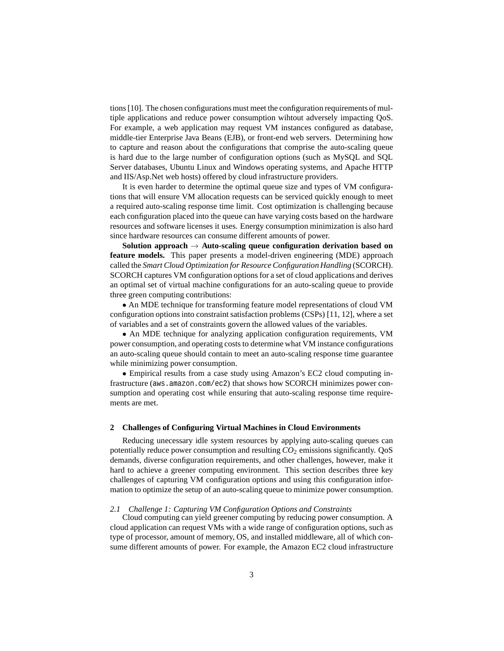tions [10]. The chosen configurations must meet the configuration requirements of multiple applications and reduce power consumption wihtout adversely impacting QoS. For example, a web application may request VM instances configured as database, middle-tier Enterprise Java Beans (EJB), or front-end web servers. Determining how to capture and reason about the configurations that comprise the auto-scaling queue is hard due to the large number of configuration options (such as MySQL and SQL Server databases, Ubuntu Linux and Windows operating systems, and Apache HTTP and IIS/Asp.Net web hosts) offered by cloud infrastructure providers.

It is even harder to determine the optimal queue size and types of VM configurations that will ensure VM allocation requests can be serviced quickly enough to meet a required auto-scaling response time limit. Cost optimization is challenging because each configuration placed into the queue can have varying costs based on the hardware resources and software licenses it uses. Energy consumption minimization is also hard since hardware resources can consume different amounts of power.

**Solution approach** → **Auto-scaling queue configuration derivation based on feature models.** This paper presents a model-driven engineering (MDE) approach called the *Smart Cloud Optimization for Resource Configuration Handling* (SCORCH). SCORCH captures VM configuration options for a set of cloud applications and derives an optimal set of virtual machine configurations for an auto-scaling queue to provide three green computing contributions:

• An MDE technique for transforming feature model representations of cloud VM configuration options into constraint satisfaction problems (CSPs) [11, 12], where a set of variables and a set of constraints govern the allowed values of the variables.

• An MDE technique for analyzing application configuration requirements, VM power consumption, and operating costs to determine what VM instance configurations an auto-scaling queue should contain to meet an auto-scaling response time guarantee while minimizing power consumption.

• Empirical results from a case study using Amazon's EC2 cloud computing infrastructure (aws.amazon.com/ec2) that shows how SCORCH minimizes power consumption and operating cost while ensuring that auto-scaling response time requirements are met.

# **2 Challenges of Configuring Virtual Machines in Cloud Environments**

Reducing unecessary idle system resources by applying auto-scaling queues can potentially reduce power consumption and resulting *CO*<sup>2</sup> emissions significantly. QoS demands, diverse configuration requirements, and other challenges, however, make it hard to achieve a greener computing environment. This section describes three key challenges of capturing VM configuration options and using this configuration information to optimize the setup of an auto-scaling queue to minimize power consumption.

#### *2.1 Challenge 1: Capturing VM Configuration Options and Constraints*

Cloud computing can yield greener computing by reducing power consumption. A cloud application can request VMs with a wide range of configuration options, such as type of processor, amount of memory, OS, and installed middleware, all of which consume different amounts of power. For example, the Amazon EC2 cloud infrastructure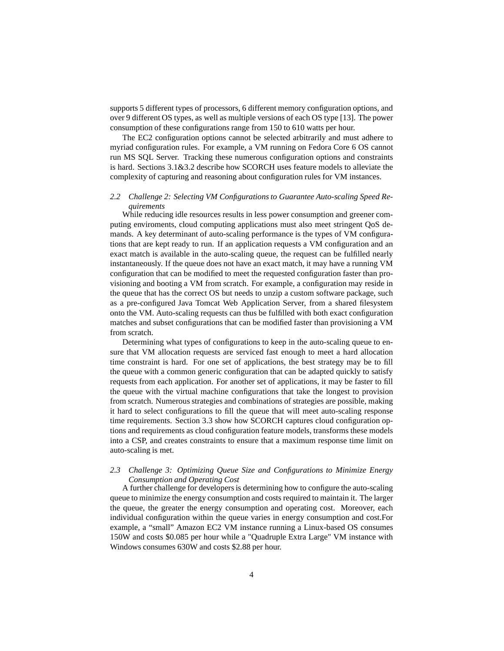supports 5 different types of processors, 6 different memory configuration options, and over 9 different OS types, as well as multiple versions of each OS type [13]. The power consumption of these configurations range from 150 to 610 watts per hour.

The EC2 configuration options cannot be selected arbitrarily and must adhere to myriad configuration rules. For example, a VM running on Fedora Core 6 OS cannot run MS SQL Server. Tracking these numerous configuration options and constraints is hard. Sections 3.1&3.2 describe how SCORCH uses feature models to alleviate the complexity of capturing and reasoning about configuration rules for VM instances.

# *2.2 Challenge 2: Selecting VM Configurations to Guarantee Auto-scaling Speed Requirements*

While reducing idle resources results in less power consumption and greener computing enviroments, cloud computing applications must also meet stringent QoS demands. A key determinant of auto-scaling performance is the types of VM configurations that are kept ready to run. If an application requests a VM configuration and an exact match is available in the auto-scaling queue, the request can be fulfilled nearly instantaneously. If the queue does not have an exact match, it may have a running VM configuration that can be modified to meet the requested configuration faster than provisioning and booting a VM from scratch. For example, a configuration may reside in the queue that has the correct OS but needs to unzip a custom software package, such as a pre-configured Java Tomcat Web Application Server, from a shared filesystem onto the VM. Auto-scaling requests can thus be fulfilled with both exact configuration matches and subset configurations that can be modified faster than provisioning a VM from scratch.

Determining what types of configurations to keep in the auto-scaling queue to ensure that VM allocation requests are serviced fast enough to meet a hard allocation time constraint is hard. For one set of applications, the best strategy may be to fill the queue with a common generic configuration that can be adapted quickly to satisfy requests from each application. For another set of applications, it may be faster to fill the queue with the virtual machine configurations that take the longest to provision from scratch. Numerous strategies and combinations of strategies are possible, making it hard to select configurations to fill the queue that will meet auto-scaling response time requirements. Section 3.3 show how SCORCH captures cloud configuration options and requirements as cloud configuration feature models, transforms these models into a CSP, and creates constraints to ensure that a maximum response time limit on auto-scaling is met.

# *2.3 Challenge 3: Optimizing Queue Size and Configurations to Minimize Energy Consumption and Operating Cost*

A further challenge for developers is determining how to configure the auto-scaling queue to minimize the energy consumption and costs required to maintain it. The larger the queue, the greater the energy consumption and operating cost. Moreover, each individual configuration within the queue varies in energy consumption and cost.For example, a "small" Amazon EC2 VM instance running a Linux-based OS consumes 150W and costs \$0.085 per hour while a "Quadruple Extra Large" VM instance with Windows consumes 630W and costs \$2.88 per hour.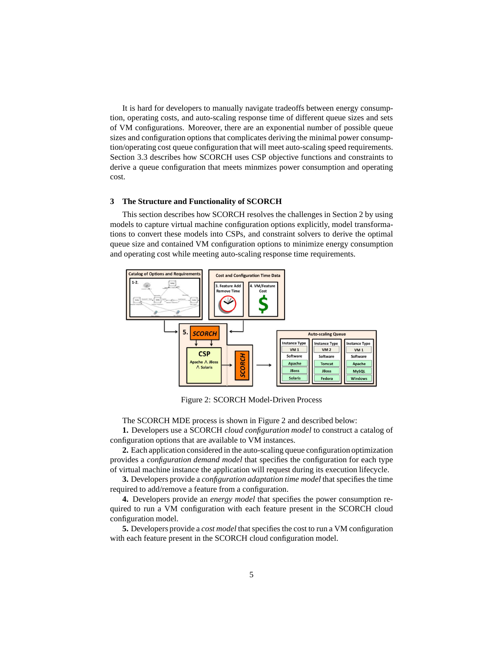It is hard for developers to manually navigate tradeoffs between energy consumption, operating costs, and auto-scaling response time of different queue sizes and sets of VM configurations. Moreover, there are an exponential number of possible queue sizes and configuration options that complicates deriving the minimal power consumption/operating cost queue configuration that will meet auto-scaling speed requirements. Section 3.3 describes how SCORCH uses CSP objective functions and constraints to derive a queue configuration that meets minmizes power consumption and operating cost.

#### **3 The Structure and Functionality of SCORCH**

This section describes how SCORCH resolves the challenges in Section 2 by using models to capture virtual machine configuration options explicitly, model transformations to convert these models into CSPs, and constraint solvers to derive the optimal queue size and contained VM configuration options to minimize energy consumption and operating cost while meeting auto-scaling response time requirements.



Figure 2: SCORCH Model-Driven Process

The SCORCH MDE process is shown in Figure 2 and described below:

**1.** Developers use a SCORCH *cloud configuration model* to construct a catalog of configuration options that are available to VM instances.

**2.** Each application considered in the auto-scaling queue configuration optimization provides a *configuration demand model* that specifies the configuration for each type of virtual machine instance the application will request during its execution lifecycle.

**3.** Developers provide a *configuration adaptation time model* that specifies the time required to add/remove a feature from a configuration.

**4.** Developers provide an *energy model* that specifies the power consumption required to run a VM configuration with each feature present in the SCORCH cloud configuration model.

**5.** Developers provide a *cost model* that specifies the cost to run a VM configuration with each feature present in the SCORCH cloud configuration model.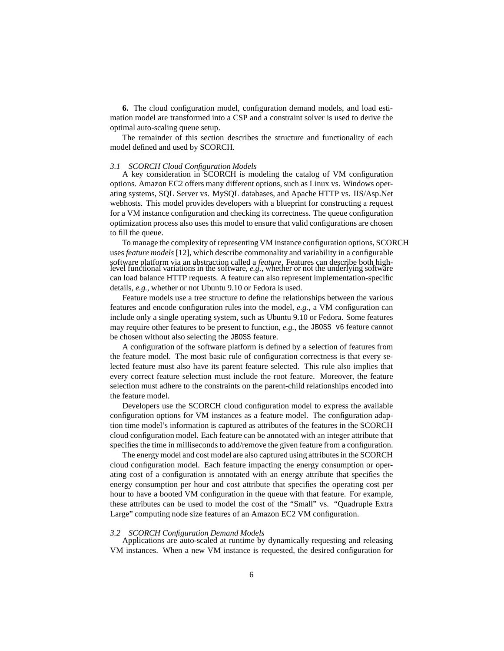**6.** The cloud configuration model, configuration demand models, and load estimation model are transformed into a CSP and a constraint solver is used to derive the optimal auto-scaling queue setup.

The remainder of this section describes the structure and functionality of each model defined and used by SCORCH.

#### *3.1 SCORCH Cloud Configuration Models*

A key consideration in SCORCH is modeling the catalog of VM configuration options. Amazon EC2 offers many different options, such as Linux vs. Windows operating systems, SQL Server vs. MySQL databases, and Apache HTTP vs. IIS/Asp.Net webhosts. This model provides developers with a blueprint for constructing a request for a VM instance configuration and checking its correctness. The queue configuration optimization process also uses this model to ensure that valid configurations are chosen to fill the queue.

To manage the complexity of representing VM instance configuration options, SCORCH uses *feature models* [12], which describe commonality and variability in a configurable software platform via an abstraction called a *feature*. Features can describe both high-level functional variations in the software, *e.g.*, whether or not the underlying software can load balance HTTP requests. A feature can also represent implementation-specific details, *e.g.*, whether or not Ubuntu 9.10 or Fedora is used.

Feature models use a tree structure to define the relationships between the various features and encode configuration rules into the model, *e.g.*, a VM configuration can include only a single operating system, such as Ubuntu 9.10 or Fedora. Some features may require other features to be present to function, *e.g.*, the JBOSS v6 feature cannot be chosen without also selecting the JBOSS feature.

A configuration of the software platform is defined by a selection of features from the feature model. The most basic rule of configuration correctness is that every selected feature must also have its parent feature selected. This rule also implies that every correct feature selection must include the root feature. Moreover, the feature selection must adhere to the constraints on the parent-child relationships encoded into the feature model.

Developers use the SCORCH cloud configuration model to express the available configuration options for VM instances as a feature model. The configuration adaption time model's information is captured as attributes of the features in the SCORCH cloud configuration model. Each feature can be annotated with an integer attribute that specifies the time in milliseconds to add/remove the given feature from a configuration.

The energy model and cost model are also captured using attributes in the SCORCH cloud configuration model. Each feature impacting the energy consumption or operating cost of a configuration is annotated with an energy attribute that specifies the energy consumption per hour and cost attribute that specifies the operating cost per hour to have a booted VM configuration in the queue with that feature. For example, these attributes can be used to model the cost of the "Small" vs. "Quadruple Extra Large" computing node size features of an Amazon EC2 VM configuration.

#### *3.2 SCORCH Configuration Demand Models*

Applications are auto-scaled at runtime by dynamically requesting and releasing VM instances. When a new VM instance is requested, the desired configuration for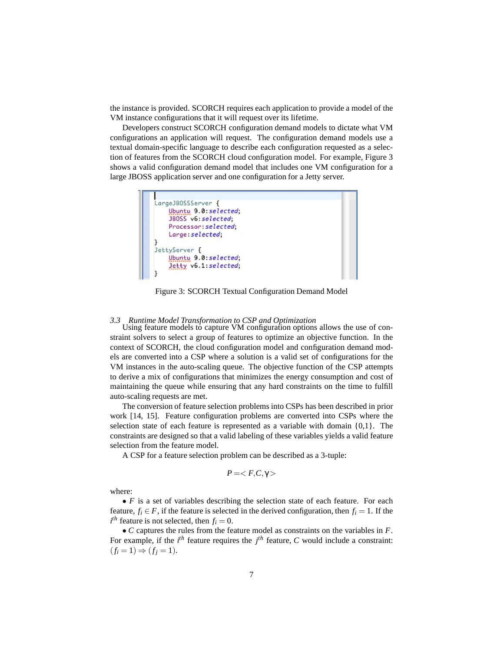the instance is provided. SCORCH requires each application to provide a model of the VM instance configurations that it will request over its lifetime.

Developers construct SCORCH configuration demand models to dictate what VM configurations an application will request. The configuration demand models use a textual domain-specific language to describe each configuration requested as a selection of features from the SCORCH cloud configuration model. For example, Figure 3 shows a valid configuration demand model that includes one VM configuration for a large JBOSS application server and one configuration for a Jetty server.



Figure 3: SCORCH Textual Configuration Demand Model

# *3.3 Runtime Model Transformation to CSP and Optimization*

Using feature models to capture VM configuration options allows the use of constraint solvers to select a group of features to optimize an objective function. In the context of SCORCH, the cloud configuration model and configuration demand models are converted into a CSP where a solution is a valid set of configurations for the VM instances in the auto-scaling queue. The objective function of the CSP attempts to derive a mix of configurations that minimizes the energy consumption and cost of maintaining the queue while ensuring that any hard constraints on the time to fulfill auto-scaling requests are met.

The conversion of feature selection problems into CSPs has been described in prior work [14, 15]. Feature configuration problems are converted into CSPs where the selection state of each feature is represented as a variable with domain  $\{0,1\}$ . The constraints are designed so that a valid labeling of these variables yields a valid feature selection from the feature model.

A CSP for a feature selection problem can be described as a 3-tuple:

$$
P=
$$

where:

• *F* is a set of variables describing the selection state of each feature. For each feature,  $f_i \in F$ , if the feature is selected in the derived configuration, then  $f_i = 1$ . If the  $i^{th}$  feature is not selected, then  $f_i = 0$ .

• *C* captures the rules from the feature model as constraints on the variables in *F*. For example, if the  $i^{th}$  feature requires the  $j^{th}$  feature, C would include a constraint:  $(f_i = 1) \Rightarrow (f_j = 1).$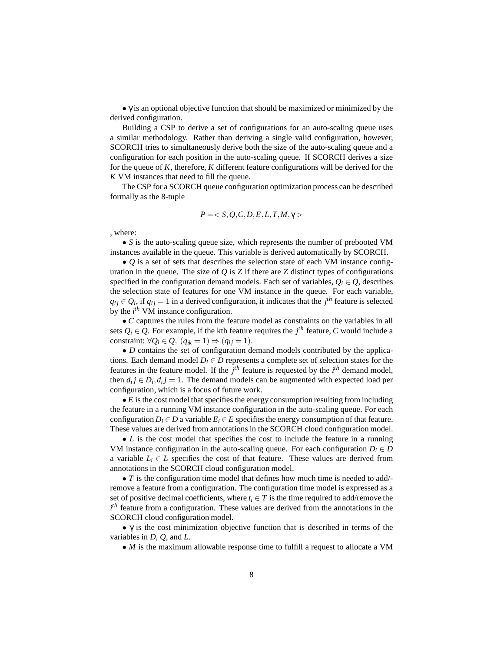$\bullet$   $\gamma$  is an optional objective function that should be maximized or minimized by the derived configuration.

Building a CSP to derive a set of configurations for an auto-scaling queue uses a similar methodology. Rather than deriving a single valid configuration, however, SCORCH tries to simultaneously derive both the size of the auto-scaling queue and a configuration for each position in the auto-scaling queue. If SCORCH derives a size for the queue of *K*, therefore, *K* different feature configurations will be derived for the *K* VM instances that need to fill the queue.

The CSP for a SCORCH queue configuration optimization process can be described formally as the 8-tuple

$$
P =
$$

, where:

• *S* is the auto-scaling queue size, which represents the number of prebooted VM instances available in the queue. This variable is derived automatically by SCORCH.

• *Q* is a set of sets that describes the selection state of each VM instance configuration in the queue. The size of  $Q$  is  $Z$  if there are  $Z$  distinct types of configurations specified in the configuration demand models. Each set of variables,  $O_i \in O$ , describes the selection state of features for one VM instance in the queue. For each variable,  $q_{ij} \in Q_i$ , if  $q_{ij} = 1$  in a derived configuration, it indicates that the  $j^{th}$  feature is selected by the  $i^{th}$  VM instance configuration.

• *C* captures the rules from the feature model as constraints on the variables in all sets  $Q_i \in Q$ . For example, if the kth feature requires the  $j<sup>th</sup>$  feature, C would include a constraint:  $\forall Q_i \in Q, (q_{ik} = 1) \Rightarrow (q_{ij} = 1).$ 

• *D* contains the set of configuration demand models contributed by the applications. Each demand model  $D_i \in D$  represents a complete set of selection states for the features in the feature model. If the  $j<sup>th</sup>$  feature is requested by the  $i<sup>th</sup>$  demand model, then  $d_i j \in D_i, d_i j = 1$ . The demand models can be augmented with expected load per configuration, which is a focus of future work.

• *E* is the cost model that specifies the energy consumption resulting from including the feature in a running VM instance configuration in the auto-scaling queue. For each configuration  $D_i \in D$  a variable  $E_i \in E$  specifies the energy consumption of that feature. These values are derived from annotations in the SCORCH cloud configuration model.

• *L* is the cost model that specifies the cost to include the feature in a running VM instance configuration in the auto-scaling queue. For each configuration  $D_i \in D$ a variable  $L_i \in L$  specifies the cost of that feature. These values are derived from annotations in the SCORCH cloud configuration model.

• *T* is the configuration time model that defines how much time is needed to add/remove a feature from a configuration. The configuration time model is expressed as a set of positive decimal coefficients, where  $t_i \in T$  is the time required to add/remove the  $i<sup>th</sup>$  feature from a configuration. These values are derived from the annotations in the SCORCH cloud configuration model.

•  $\gamma$  is the cost minimization objective function that is described in terms of the variables in *D*, *Q*, and *L*.

• *M* is the maximum allowable response time to fulfill a request to allocate a VM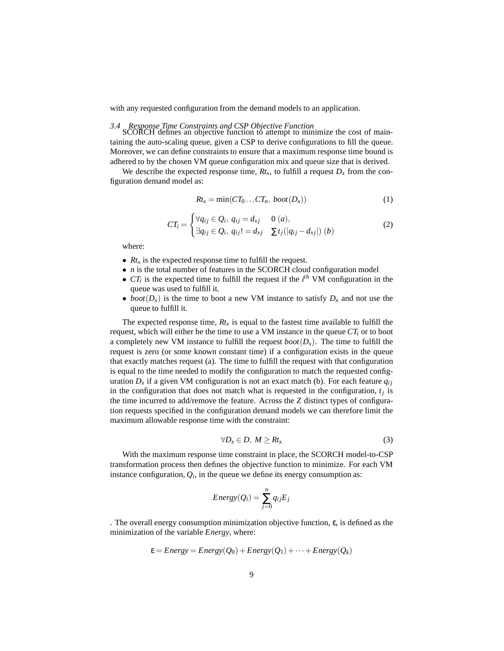with any requested configuration from the demand models to an application.

*3.4 Response Time Constraints and CSP Objective Function* SCORCH defines an objective function to attempt to minimize the cost of maintaining the auto-scaling queue, given a CSP to derive configurations to fill the queue. Moreover, we can define constraints to ensure that a maximum response time bound is adhered to by the chosen VM queue configuration mix and queue size that is derived.

We describe the expected response time,  $Rt<sub>x</sub>$ , to fulfill a request  $D<sub>x</sub>$  from the configuration demand model as:

$$
Rt_x = \min(CT_0...CT_n, boot(D_x))
$$
\n(1)

$$
CT_i = \begin{cases} \forall q_{ij} \in Q_i, \ q_{ij} = d_{xj} & 0 \ (a), \\ \exists q_{ij} \in Q_i, \ q_{ij}! = d_{xj} & \sum t_j (|q_{ij} - d_{xj}|) \ (b) \end{cases} \tag{2}
$$

where:

- *Rt<sub>x</sub>* is the expected response time to fulfill the request.
- *n* is the total number of features in the SCORCH cloud configuration model
- $CT_i$  is the expected time to fulfill the request if the  $i^{th}$  VM configuration in the queue was used to fulfill it.
- *boot*( $D_x$ ) is the time to boot a new VM instance to satisfy  $D_x$  and not use the queue to fulfill it.

The expected response time,  $Rt<sub>x</sub>$  is equal to the fastest time available to fulfill the request, which will either be the time to use a VM instance in the queue  $CT_i$  or to boot a completely new VM instance to fulfill the request  $boot(D_x)$ . The time to fulfill the request is zero (or some known constant time) if a configuration exists in the queue that exactly matches request (a). The time to fulfill the request with that configuration is equal to the time needed to modify the configuration to match the requested configuration  $D_x$  if a given VM configuration is not an exact match (b). For each feature  $q_{ij}$ in the configuration that does not match what is requested in the configuration,  $t_j$  is the time incurred to add/remove the feature. Across the *Z* distinct types of configuration requests specified in the configuration demand models we can therefore limit the maximum allowable response time with the constraint:

$$
\forall D_x \in D, M \ge R t_x \tag{3}
$$

With the maximum response time constraint in place, the SCORCH model-to-CSP transformation process then defines the objective function to minimize. For each VM instance configuration,  $Q_i$ , in the queue we define its energy consumption as:

$$
Energy(Q_i) = \sum_{j=0}^{n} q_{ij} E_j
$$

. The overall energy consumption minimization objective function,  $\varepsilon$ , is defined as the minimization of the variable *Energy*, where:

$$
\varepsilon = Energy = Energy(Q_0) + Energy(Q_1) + \cdots + Energy(Q_k)
$$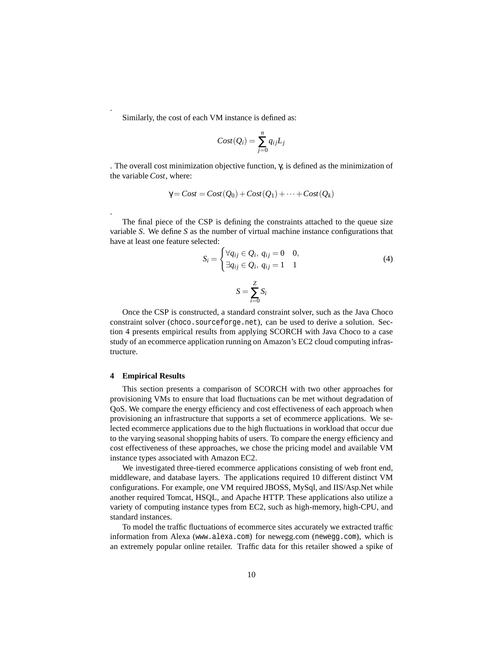Similarly, the cost of each VM instance is defined as:

$$
Cost(Q_i) = \sum_{j=0}^{n} q_{ij} L_j
$$

. The overall cost minimization objective function, γ, is defined as the minimization of the variable *Cost*, where:

$$
\gamma = Cost = Cost(Q_0) + Cost(Q_1) + \cdots + Cost(Q_k)
$$

The final piece of the CSP is defining the constraints attached to the queue size variable *S*. We define *S* as the number of virtual machine instance configurations that have at least one feature selected:

$$
S_i = \begin{cases} \forall q_{ij} \in Q_i, q_{ij} = 0 & 0, \\ \exists q_{ij} \in Q_i, q_{ij} = 1 & 1 \end{cases}
$$
 (4)

$$
S = \sum_{i=0}^{Z} S_i
$$

Once the CSP is constructed, a standard constraint solver, such as the Java Choco constraint solver (choco.sourceforge.net), can be used to derive a solution. Section 4 presents empirical results from applying SCORCH with Java Choco to a case study of an ecommerce application running on Amazon's EC2 cloud computing infrastructure.

# **4 Empirical Results**

.

.

This section presents a comparison of SCORCH with two other approaches for provisioning VMs to ensure that load fluctuations can be met without degradation of QoS. We compare the energy efficiency and cost effectiveness of each approach when provisioning an infrastructure that supports a set of ecommerce applications. We selected ecommerce applications due to the high fluctuations in workload that occur due to the varying seasonal shopping habits of users. To compare the energy efficiency and cost effectiveness of these approaches, we chose the pricing model and available VM instance types associated with Amazon EC2.

We investigated three-tiered ecommerce applications consisting of web front end, middleware, and database layers. The applications required 10 different distinct VM configurations. For example, one VM required JBOSS, MySql, and IIS/Asp.Net while another required Tomcat, HSQL, and Apache HTTP. These applications also utilize a variety of computing instance types from EC2, such as high-memory, high-CPU, and standard instances.

To model the traffic fluctuations of ecommerce sites accurately we extracted traffic information from Alexa (www.alexa.com) for newegg.com (newegg.com), which is an extremely popular online retailer. Traffic data for this retailer showed a spike of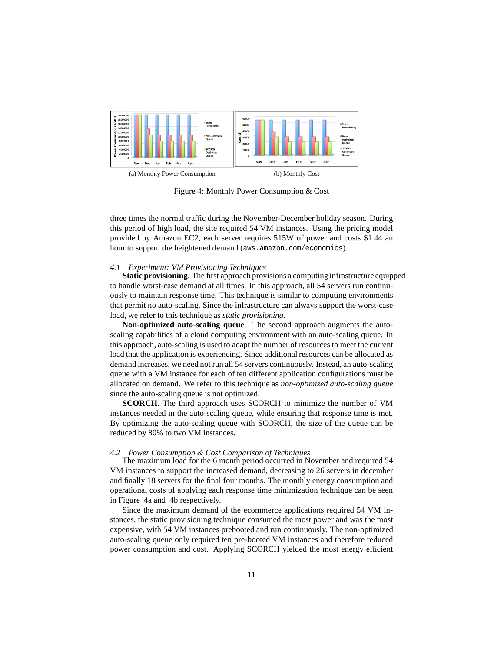

Figure 4: Monthly Power Consumption & Cost

three times the normal traffic during the November-December holiday season. During this period of high load, the site required 54 VM instances. Using the pricing model provided by Amazon EC2, each server requires 515W of power and costs \$1.44 an hour to support the heightened demand (aws.amazon.com/economics).

# *4.1 Experiment: VM Provisioning Techniques*

**Static provisioning**. The first approach provisions a computing infrastructure equipped to handle worst-case demand at all times. In this approach, all 54 servers run continuously to maintain response time. This technique is similar to computing environments that permit no auto-scaling. Since the infrastructure can always support the worst-case load, we refer to this technique as *static provisioning*.

**Non-optimized auto-scaling queue**. The second approach augments the autoscaling capabilities of a cloud computing environment with an auto-scaling queue. In this approach, auto-scaling is used to adapt the number of resources to meet the current load that the application is experiencing. Since additional resources can be allocated as demand increases, we need not run all 54 servers continuously. Instead, an auto-scaling queue with a VM instance for each of ten different application configurations must be allocated on demand. We refer to this technique as *non-optimized auto-scaling queue* since the auto-scaling queue is not optimized.

**SCORCH**. The third approach uses SCORCH to minimize the number of VM instances needed in the auto-scaling queue, while ensuring that response time is met. By optimizing the auto-scaling queue with SCORCH, the size of the queue can be reduced by 80% to two VM instances.

#### *4.2 Power Consumption & Cost Comparison of Techniques*

The maximum load for the 6 month period occurred in November and required 54 VM instances to support the increased demand, decreasing to 26 servers in december and finally 18 servers for the final four months. The monthly energy consumption and operational costs of applying each response time minimization technique can be seen in Figure 4a and 4b respectively.

Since the maximum demand of the ecommerce applications required 54 VM instances, the static provisioning technique consumed the most power and was the most expensive, with 54 VM instances prebooted and run continuously. The non-optimized auto-scaling queue only required ten pre-booted VM instances and therefore reduced power consumption and cost. Applying SCORCH yielded the most energy efficient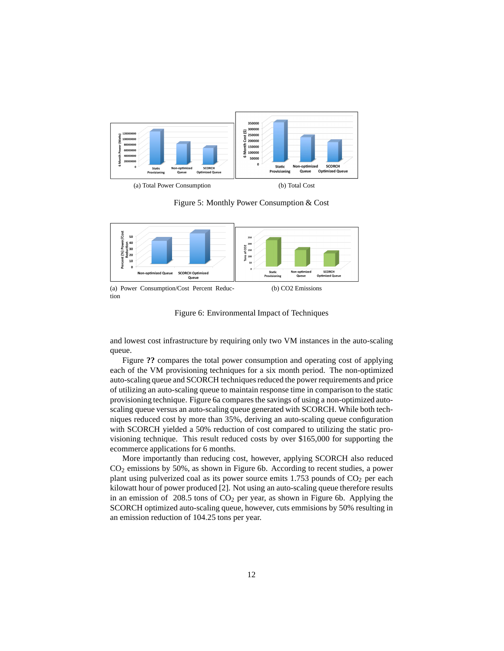

(a) Total Power Consumption (b) Total Cost

Figure 5: Monthly Power Consumption & Cost



(a) Power Consumption/Cost Percent Reduction

Figure 6: Environmental Impact of Techniques

and lowest cost infrastructure by requiring only two VM instances in the auto-scaling queue.

Figure **??** compares the total power consumption and operating cost of applying each of the VM provisioning techniques for a six month period. The non-optimized auto-scaling queue and SCORCH techniques reduced the power requirements and price of utilizing an auto-scaling queue to maintain response time in comparison to the static provisioning technique. Figure 6a compares the savings of using a non-optimized autoscaling queue versus an auto-scaling queue generated with SCORCH. While both techniques reduced cost by more than 35%, deriving an auto-scaling queue configuration with SCORCH yielded a 50% reduction of cost compared to utilizing the static provisioning technique. This result reduced costs by over \$165,000 for supporting the ecommerce applications for 6 months.

More importantly than reducing cost, however, applying SCORCH also reduced CO<sup>2</sup> emissions by 50%, as shown in Figure 6b. According to recent studies, a power plant using pulverized coal as its power source emits  $1.753$  pounds of  $CO<sub>2</sub>$  per each kilowatt hour of power produced [2]. Not using an auto-scaling queue therefore results in an emission of  $208.5$  tons of  $CO<sub>2</sub>$  per year, as shown in Figure 6b. Applying the SCORCH optimized auto-scaling queue, however, cuts emmisions by 50% resulting in an emission reduction of 104.25 tons per year.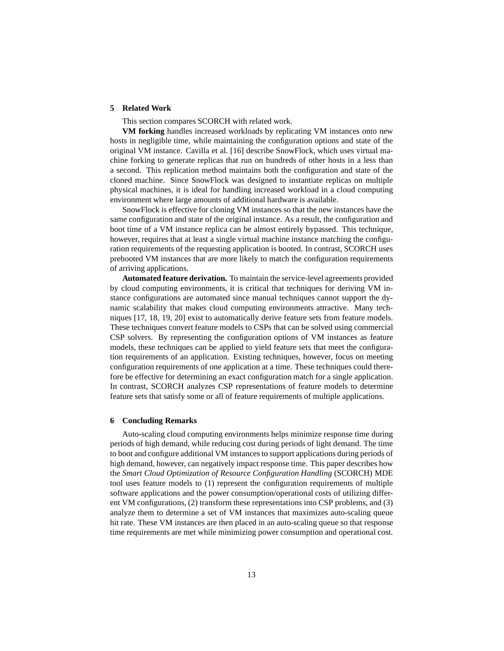# **5 Related Work**

This section compares SCORCH with related work.

**VM forking** handles increased workloads by replicating VM instances onto new hosts in negligible time, while maintaining the configuration options and state of the original VM instance. Cavilla et al. [16] describe SnowFlock, which uses virtual machine forking to generate replicas that run on hundreds of other hosts in a less than a second. This replication method maintains both the configuration and state of the cloned machine. Since SnowFlock was designed to instantiate replicas on multiple physical machines, it is ideal for handling increased workload in a cloud computing environment where large amounts of additional hardware is available.

SnowFlock is effective for cloning VM instances so that the new instances have the same configuration and state of the original instance. As a result, the configuration and boot time of a VM instance replica can be almost entirely bypassed. This technique, however, requires that at least a single virtual machine instance matching the configuration requirements of the requesting application is booted. In contrast, SCORCH uses prebooted VM instances that are more likely to match the configuration requirements of arriving applications.

**Automated feature derivation.** To maintain the service-level agreements provided by cloud computing environments, it is critical that techniques for deriving VM instance configurations are automated since manual techniques cannot support the dynamic scalability that makes cloud computing environments attractive. Many techniques [17, 18, 19, 20] exist to automatically derive feature sets from feature models. These techniques convert feature models to CSPs that can be solved using commercial CSP solvers. By representing the configuration options of VM instances as feature models, these techniques can be applied to yield feature sets that meet the configuration requirements of an application. Existing techniques, however, focus on meeting configuration requirements of one application at a time. These techniques could therefore be effective for determining an exact configuration match for a single application. In contrast, SCORCH analyzes CSP representations of feature models to determine feature sets that satisfy some or all of feature requirements of multiple applications.

# **6 Concluding Remarks**

Auto-scaling cloud computing environments helps minimize response time during periods of high demand, while reducing cost during periods of light demand. The time to boot and configure additional VM instances to support applications during periods of high demand, however, can negatively impact response time. This paper describes how the *Smart Cloud Optimization of Resource Configuration Handling* (SCORCH) MDE tool uses feature models to (1) represent the configuration requirements of multiple software applications and the power consumption/operational costs of utilizing different VM configurations, (2) transform these representations into CSP problems, and (3) analyze them to determine a set of VM instances that maximizes auto-scaling queue hit rate. These VM instances are then placed in an auto-scaling queue so that response time requirements are met while minimizing power consumption and operational cost.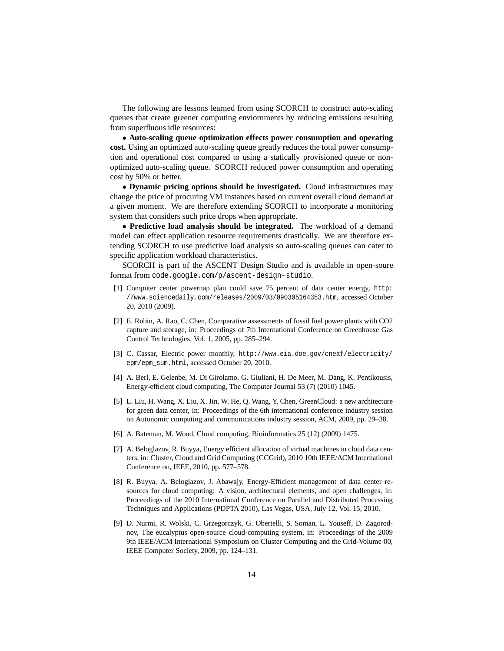The following are lessons learned from using SCORCH to construct auto-scaling queues that create greener computing enviornments by reducing emissions resulting from superfluous idle resources:

• **Auto-scaling queue optimization effects power consumption and operating cost.** Using an optimized auto-scaling queue greatly reduces the total power consumption and operational cost compared to using a statically provisioned queue or nonoptimized auto-scaling queue. SCORCH reduced power consumption and operating cost by 50% or better.

• **Dynamic pricing options should be investigated.** Cloud infrastructures may change the price of procuring VM instances based on current overall cloud demand at a given moment. We are therefore extending SCORCH to incorporate a monitoring system that considers such price drops when appropriate.

• **Predictive load analysis should be integrated.** The workload of a demand model can effect application resource requirements drastically. We are therefore extending SCORCH to use predictive load analysis so auto-scaling queues can cater to specific application workload characteristics.

SCORCH is part of the ASCENT Design Studio and is available in open-soure format from code.google.com/p/ascent-design-studio.

- [1] Computer center powernap plan could save 75 percent of data center energy, http: //www.sciencedaily.com/releases/2009/03/090305164353.htm, accessed October 20, 2010 (2009).
- [2] E. Rubin, A. Rao, C. Chen, Comparative assessments of fossil fuel power plants with CO2 capture and storage, in: Proceedings of 7th International Conference on Greenhouse Gas Control Technologies, Vol. 1, 2005, pp. 285–294.
- [3] C. Cassar, Electric power monthly, http://www.eia.doe.gov/cneaf/electricity/ epm/epm\_sum.html, accessed October 20, 2010.
- [4] A. Berl, E. Gelenbe, M. Di Girolamo, G. Giuliani, H. De Meer, M. Dang, K. Pentikousis, Energy-efficient cloud computing, The Computer Journal 53 (7) (2010) 1045.
- [5] L. Liu, H. Wang, X. Liu, X. Jin, W. He, Q. Wang, Y. Chen, GreenCloud: a new architecture for green data center, in: Proceedings of the 6th international conference industry session on Autonomic computing and communications industry session, ACM, 2009, pp. 29–38.
- [6] A. Bateman, M. Wood, Cloud computing, Bioinformatics 25 (12) (2009) 1475.
- [7] A. Beloglazov, R. Buyya, Energy efficient allocation of virtual machines in cloud data centers, in: Cluster, Cloud and Grid Computing (CCGrid), 2010 10th IEEE/ACM International Conference on, IEEE, 2010, pp. 577–578.
- [8] R. Buyya, A. Beloglazov, J. Abawajy, Energy-Efficient management of data center resources for cloud computing: A vision, architectural elements, and open challenges, in: Proceedings of the 2010 International Conference on Parallel and Distributed Processing Techniques and Applications (PDPTA 2010), Las Vegas, USA, July 12, Vol. 15, 2010.
- [9] D. Nurmi, R. Wolski, C. Grzegorczyk, G. Obertelli, S. Soman, L. Youseff, D. Zagorodnov, The eucalyptus open-source cloud-computing system, in: Proceedings of the 2009 9th IEEE/ACM International Symposium on Cluster Computing and the Grid-Volume 00, IEEE Computer Society, 2009, pp. 124–131.